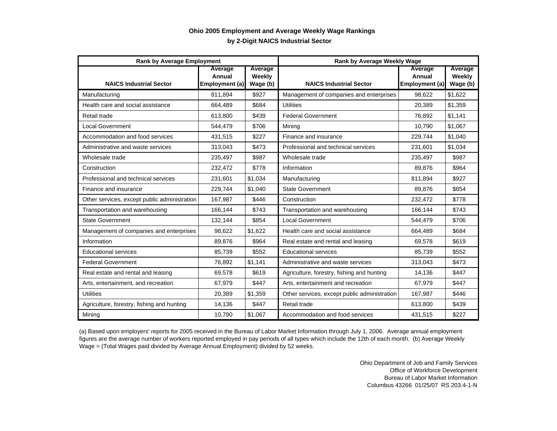## **by 2-Digit NAICS Industrial Sector Ohio 2005 Employment and Average Weekly Wage Rankings**

| <b>Rank by Average Employment</b>            |                                            |                               | <b>Rank by Average Weekly Wage</b>           |                                     |                               |
|----------------------------------------------|--------------------------------------------|-------------------------------|----------------------------------------------|-------------------------------------|-------------------------------|
| <b>NAICS Industrial Sector</b>               | <b>Average</b><br>Annual<br>Employment (a) | Average<br>Weekly<br>Wage (b) | <b>NAICS Industrial Sector</b>               | Average<br>Annual<br>Employment (a) | Average<br>Weekly<br>Wage (b) |
| Manufacturing                                | 811,894                                    | \$927                         | Management of companies and enterprises      | 98,622                              | \$1,622                       |
| Health care and social assistance            | 664,489                                    | \$684                         | <b>Utilities</b>                             | 20,389                              | \$1,359                       |
| Retail trade                                 | 613,800                                    | \$439                         | <b>Federal Government</b>                    | 76,892                              | \$1,141                       |
| <b>Local Government</b>                      | 544,479                                    | \$706                         | Mining                                       | 10,790                              | \$1,067                       |
| Accommodation and food services              | 431,515                                    | \$227                         | Finance and insurance                        | 229,744                             | \$1,040                       |
| Administrative and waste services            | 313,043                                    | \$473                         | Professional and technical services          | 231,601                             | \$1.034                       |
| Wholesale trade                              | 235,497                                    | \$987                         | Wholesale trade                              | 235,497                             | \$987                         |
| Construction                                 | 232,472                                    | \$778                         | Information                                  | 89.876                              | \$964                         |
| Professional and technical services          | 231,601                                    | \$1,034                       | Manufacturing                                | 811,894                             | \$927                         |
| Finance and insurance                        | 229.744                                    | \$1.040                       | <b>State Government</b>                      | 89.876                              | \$854                         |
| Other services, except public administration | 167,987                                    | \$446                         | Construction                                 | 232,472                             | \$778                         |
| Transportation and warehousing               | 166,144                                    | \$743                         | Transportation and warehousing               | 166,144                             | \$743                         |
| <b>State Government</b>                      | 132,144                                    | \$854                         | <b>Local Government</b>                      | 544,479                             | \$706                         |
| Management of companies and enterprises      | 98,622                                     | \$1,622                       | Health care and social assistance            | 664,489                             | \$684                         |
| Information                                  | 89.876                                     | \$964                         | Real estate and rental and leasing           | 69.578                              | \$619                         |
| <b>Educational services</b>                  | 85,739                                     | \$552                         | <b>Educational services</b>                  | 85,739                              | \$552                         |
| <b>Federal Government</b>                    | 76,892                                     | \$1,141                       | Administrative and waste services            | 313,043                             | \$473                         |
| Real estate and rental and leasing           | 69,578                                     | \$619                         | Agriculture, forestry, fishing and hunting   | 14,136                              | \$447                         |
| Arts, entertainment, and recreation          | 67,979                                     | \$447                         | Arts, entertainment and recreation           | 67,979                              | \$447                         |
| <b>Utilities</b>                             | 20,389                                     | \$1,359                       | Other services, except public administration | 167,987                             | \$446                         |
| Agriculture, forestry, fishing and hunting   | 14,136                                     | \$447                         | Retail trade                                 | 613,800                             | \$439                         |
| Mining                                       | 10,790                                     | \$1,067                       | Accommodation and food services              | 431,515                             | \$227                         |

(a) Based upon employers' reports for 2005 received in the Bureau of Labor Market Information through July 1, 2006. Average annual employment figures are the average number of workers reported employed in pay periods of all types which include the 12th of each month. (b) Average Weekly Wage = (Total Wages paid divided by Average Annual Employment) divided by 52 weeks.

> Ohio Department of Job and Family Services Office of Workforce Development Bureau of Labor Market Information Columbus 43266 01/25/07 RS 203.4-1-N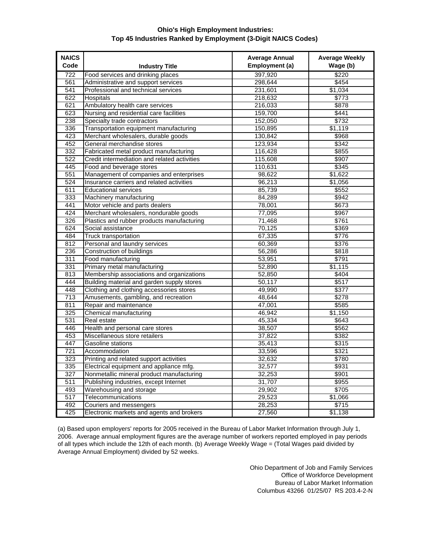## **Ohio's High Employment Industries: Top 45 Industries Ranked by Employment (3-Digit NAICS Codes)**

| <b>NAICS</b> |                                              | <b>Average Annual</b> | <b>Average Weekly</b> |
|--------------|----------------------------------------------|-----------------------|-----------------------|
| Code         | <b>Industry Title</b>                        | Employment (a)        | Wage (b)              |
| 722          | Food services and drinking places            | 397.920               | \$220                 |
| 561          | Administrative and support services          | 298.644               | \$454                 |
| 541          | Professional and technical services          | 231,601               | \$1,034               |
| 622          | <b>Hospitals</b>                             | 218,632               | \$773                 |
| 621          | Ambulatory health care services              | 216,033               | \$878                 |
| 623          | Nursing and residential care facilities      | 159,700               | \$441                 |
| 238          | Specialty trade contractors                  | 152,050               | \$732                 |
| 336          | Transportation equipment manufacturing       | 150,895               | \$1,119               |
| 423          | Merchant wholesalers, durable goods          | 130,842               | \$968                 |
| 452          | General merchandise stores                   | 123,934               | \$342                 |
| 332          | Fabricated metal product manufacturing       | 116,428               | \$855                 |
| 522          | Credit intermediation and related activities | 115,608               | \$907                 |
| 445          | Food and beverage stores                     | 110,631               | \$345                 |
| 551          | Management of companies and enterprises      | 98,622                | \$1,622               |
| 524          | Insurance carriers and related activities    | 96,213                | \$1,056               |
| 611          | <b>Educational services</b>                  | 85,739                | \$552                 |
| 333          | Machinery manufacturing                      | 84,289                | \$942                 |
| 441          | Motor vehicle and parts dealers              | 78,001                | \$673                 |
| 424          | Merchant wholesalers, nondurable goods       | 77,095                | \$967                 |
| 326          | Plastics and rubber products manufacturing   | 71,468                | \$761                 |
| 624          | Social assistance                            | 70,125                | \$369                 |
| 484          | <b>Truck transportation</b>                  | 67,335                | \$776                 |
| 812          | Personal and laundry services                | 60,369                | \$376                 |
| 236          | Construction of buildings                    | 56,286                | \$818                 |
| 311          | Food manufacturing                           | 53,951                | \$791                 |
| 331          | Primary metal manufacturing                  | 52,890                | \$1,115               |
| 813          | Membership associations and organizations    | 52,850                | \$404                 |
| 444          | Building material and garden supply stores   | 50,117                | \$517                 |
| 448          | Clothing and clothing accessories stores     | 49,990                | \$377                 |
| 713          | Amusements, gambling, and recreation         | 48,644                | \$278                 |
| 811          | Repair and maintenance                       | 47,001                | \$585                 |
| 325          | Chemical manufacturing                       | 46.942                | \$1.150               |
| 531          | Real estate                                  | 45,334                | \$643                 |
| 446          | Health and personal care stores              | 38,507                | \$562                 |
| 453          | Miscellaneous store retailers                | 37,822                | \$382                 |
| 447          | Gasoline stations                            | 35,413                | \$315                 |
| 721          | Accommodation                                | 33,596                | \$321                 |
| 323          | Printing and related support activities      | 32,632                | \$780                 |
| 335          | Electrical equipment and appliance mfg.      | 32,577                | \$931                 |
| 327          | Nonmetallic mineral product manufacturing    | 32,253                | \$901                 |
| 511          | Publishing industries, except Internet       | 31,707                | \$955                 |
| 493          | Warehousing and storage                      | 29,902                | \$705                 |
| 517          | Telecommunications                           | 29,523                | \$1,066               |
| 492          | Couriers and messengers                      | 28,253                | \$715                 |
| 425          | Electronic markets and agents and brokers    | 27,560                | \$1,138               |
|              |                                              |                       |                       |

(a) Based upon employers' reports for 2005 received in the Bureau of Labor Market Information through July 1, 2006. Average annual employment figures are the average number of workers reported employed in pay periods of all types which include the 12th of each month. (b) Average Weekly Wage = (Total Wages paid divided by Average Annual Employment) divided by 52 weeks.

> Ohio Department of Job and Family Services Office of Workforce Development Bureau of Labor Market Information Columbus 43266 01/25/07 RS 203.4-2-N